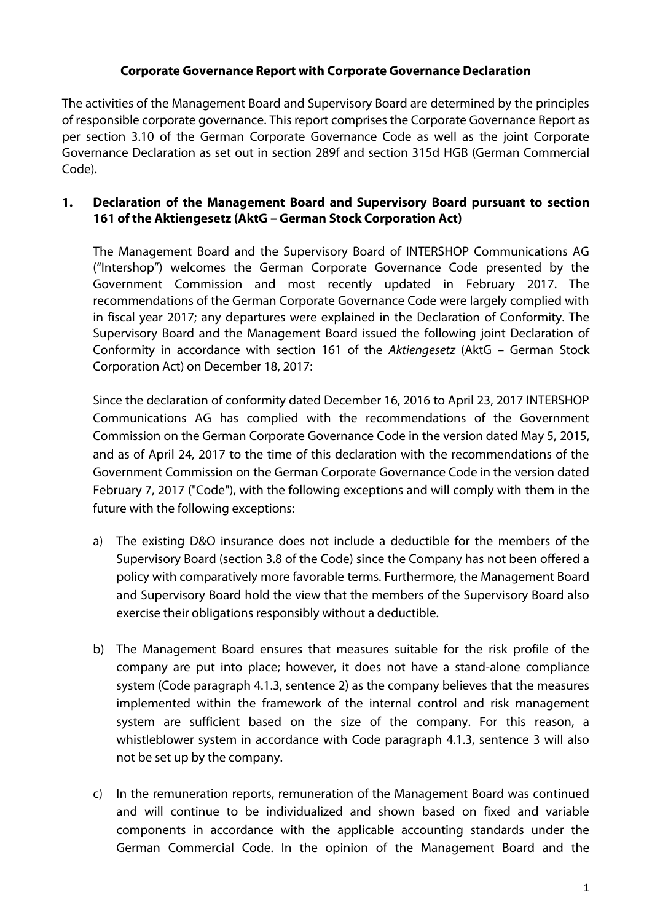### **Corporate Governance Report with Corporate Governance Declaration**

The activities of the Management Board and Supervisory Board are determined by the principles of responsible corporate governance. This report comprises the Corporate Governance Report as per section 3.10 of the German Corporate Governance Code as well as the joint Corporate Governance Declaration as set out in section 289f and section 315d HGB (German Commercial Code).

### **1. Declaration of the Management Board and Supervisory Board pursuant to section 161 of the Aktiengesetz (AktG – German Stock Corporation Act)**

The Management Board and the Supervisory Board of INTERSHOP Communications AG ("Intershop") welcomes the German Corporate Governance Code presented by the Government Commission and most recently updated in February 2017. The recommendations of the German Corporate Governance Code were largely complied with in fiscal year 2017; any departures were explained in the Declaration of Conformity. The Supervisory Board and the Management Board issued the following joint Declaration of Conformity in accordance with section 161 of the *Aktiengesetz* (AktG – German Stock Corporation Act) on December 18, 2017:

Since the declaration of conformity dated December 16, 2016 to April 23, 2017 INTERSHOP Communications AG has complied with the recommendations of the Government Commission on the German Corporate Governance Code in the version dated May 5, 2015, and as of April 24, 2017 to the time of this declaration with the recommendations of the Government Commission on the German Corporate Governance Code in the version dated February 7, 2017 ("Code"), with the following exceptions and will comply with them in the future with the following exceptions:

- a) The existing D&O insurance does not include a deductible for the members of the Supervisory Board (section 3.8 of the Code) since the Company has not been offered a policy with comparatively more favorable terms. Furthermore, the Management Board and Supervisory Board hold the view that the members of the Supervisory Board also exercise their obligations responsibly without a deductible.
- b) The Management Board ensures that measures suitable for the risk profile of the company are put into place; however, it does not have a stand-alone compliance system (Code paragraph 4.1.3, sentence 2) as the company believes that the measures implemented within the framework of the internal control and risk management system are sufficient based on the size of the company. For this reason, a whistleblower system in accordance with Code paragraph 4.1.3, sentence 3 will also not be set up by the company.
- c) In the remuneration reports, remuneration of the Management Board was continued and will continue to be individualized and shown based on fixed and variable components in accordance with the applicable accounting standards under the German Commercial Code. In the opinion of the Management Board and the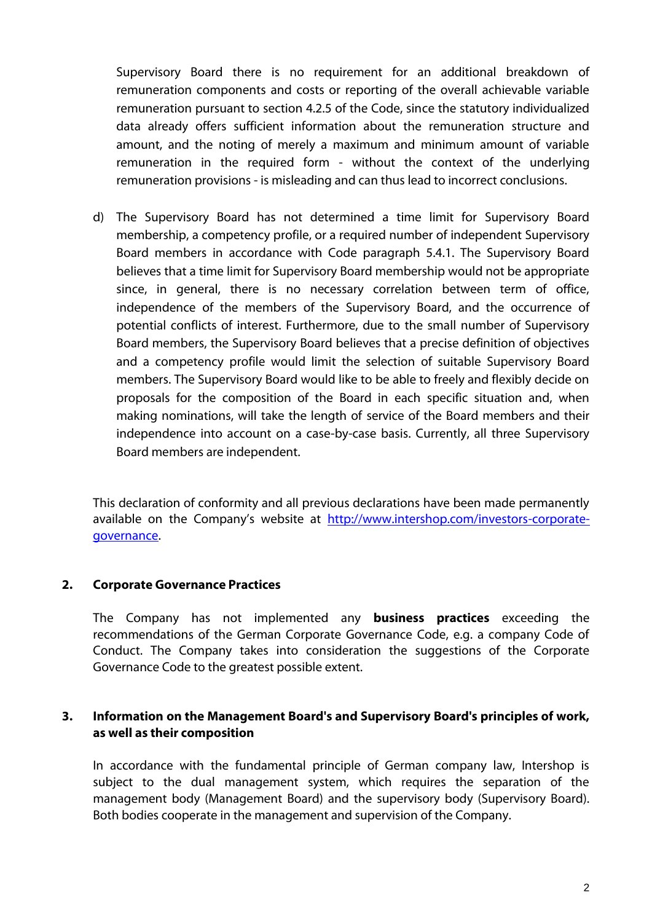Supervisory Board there is no requirement for an additional breakdown of remuneration components and costs or reporting of the overall achievable variable remuneration pursuant to section 4.2.5 of the Code, since the statutory individualized data already offers sufficient information about the remuneration structure and amount, and the noting of merely a maximum and minimum amount of variable remuneration in the required form - without the context of the underlying remuneration provisions - is misleading and can thus lead to incorrect conclusions.

d) The Supervisory Board has not determined a time limit for Supervisory Board membership, a competency profile, or a required number of independent Supervisory Board members in accordance with Code paragraph 5.4.1. The Supervisory Board believes that a time limit for Supervisory Board membership would not be appropriate since, in general, there is no necessary correlation between term of office, independence of the members of the Supervisory Board, and the occurrence of potential conflicts of interest. Furthermore, due to the small number of Supervisory Board members, the Supervisory Board believes that a precise definition of objectives and a competency profile would limit the selection of suitable Supervisory Board members. The Supervisory Board would like to be able to freely and flexibly decide on proposals for the composition of the Board in each specific situation and, when making nominations, will take the length of service of the Board members and their independence into account on a case-by-case basis. Currently, all three Supervisory Board members are independent.

This declaration of conformity and all previous declarations have been made permanently available on the Company's website at [http://www.intershop.com/investors-corporate](http://www.intershop.com/investors-corporate-governance)[governance.](http://www.intershop.com/investors-corporate-governance)

#### **2. Corporate Governance Practices**

The Company has not implemented any **business practices** exceeding the recommendations of the German Corporate Governance Code, e.g. a company Code of Conduct. The Company takes into consideration the suggestions of the Corporate Governance Code to the greatest possible extent.

#### **3. Information on the Management Board's and Supervisory Board's principles of work, as well as their composition**

In accordance with the fundamental principle of German company law, Intershop is subject to the dual management system, which requires the separation of the management body (Management Board) and the supervisory body (Supervisory Board). Both bodies cooperate in the management and supervision of the Company.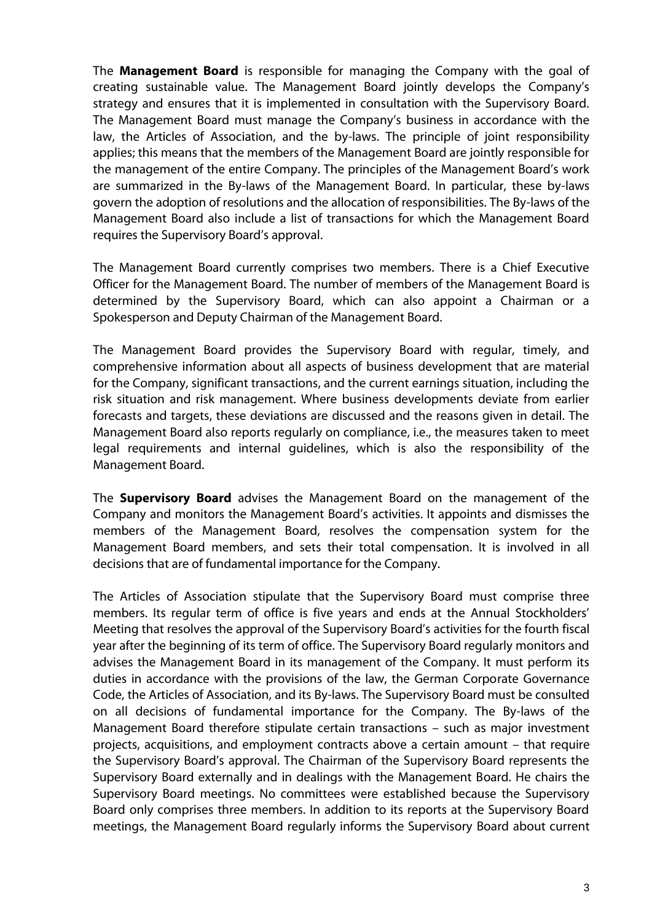The **Management Board** is responsible for managing the Company with the goal of creating sustainable value. The Management Board jointly develops the Company's strategy and ensures that it is implemented in consultation with the Supervisory Board. The Management Board must manage the Company's business in accordance with the law, the Articles of Association, and the by-laws. The principle of joint responsibility applies; this means that the members of the Management Board are jointly responsible for the management of the entire Company. The principles of the Management Board's work are summarized in the By-laws of the Management Board. In particular, these by-laws govern the adoption of resolutions and the allocation of responsibilities. The By-laws of the Management Board also include a list of transactions for which the Management Board requires the Supervisory Board's approval.

The Management Board currently comprises two members. There is a Chief Executive Officer for the Management Board. The number of members of the Management Board is determined by the Supervisory Board, which can also appoint a Chairman or a Spokesperson and Deputy Chairman of the Management Board.

The Management Board provides the Supervisory Board with regular, timely, and comprehensive information about all aspects of business development that are material for the Company, significant transactions, and the current earnings situation, including the risk situation and risk management. Where business developments deviate from earlier forecasts and targets, these deviations are discussed and the reasons given in detail. The Management Board also reports regularly on compliance, i.e., the measures taken to meet legal requirements and internal guidelines, which is also the responsibility of the Management Board.

The **Supervisory Board** advises the Management Board on the management of the Company and monitors the Management Board's activities. It appoints and dismisses the members of the Management Board, resolves the compensation system for the Management Board members, and sets their total compensation. It is involved in all decisions that are of fundamental importance for the Company.

The Articles of Association stipulate that the Supervisory Board must comprise three members. Its regular term of office is five years and ends at the Annual Stockholders' Meeting that resolves the approval of the Supervisory Board's activities for the fourth fiscal year after the beginning of its term of office. The Supervisory Board regularly monitors and advises the Management Board in its management of the Company. It must perform its duties in accordance with the provisions of the law, the German Corporate Governance Code, the Articles of Association, and its By-laws. The Supervisory Board must be consulted on all decisions of fundamental importance for the Company. The By-laws of the Management Board therefore stipulate certain transactions – such as major investment projects, acquisitions, and employment contracts above a certain amount – that require the Supervisory Board's approval. The Chairman of the Supervisory Board represents the Supervisory Board externally and in dealings with the Management Board. He chairs the Supervisory Board meetings. No committees were established because the Supervisory Board only comprises three members. In addition to its reports at the Supervisory Board meetings, the Management Board regularly informs the Supervisory Board about current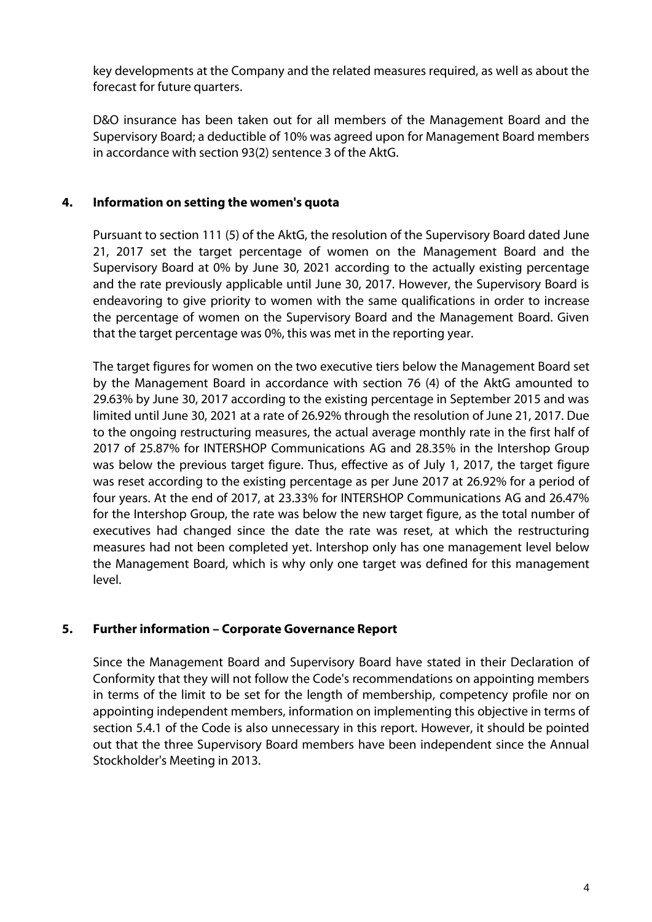key developments at the Company and the related measures required, as well as about the forecast for future quarters.

D&O insurance has been taken out for all members of the Management Board and the Supervisory Board; a deductible of 10% was agreed upon for Management Board members in accordance with section 93(2) sentence 3 of the AktG.

# **4. Information on setting the women's quota**

Pursuant to section 111 (5) of the AktG, the resolution of the Supervisory Board dated June 21, 2017 set the target percentage of women on the Management Board and the Supervisory Board at 0% by June 30, 2021 according to the actually existing percentage and the rate previously applicable until June 30, 2017. However, the Supervisory Board is endeavoring to give priority to women with the same qualifications in order to increase the percentage of women on the Supervisory Board and the Management Board. Given that the target percentage was 0%, this was met in the reporting year.

The target figures for women on the two executive tiers below the Management Board set by the Management Board in accordance with section 76 (4) of the AktG amounted to 29.63% by June 30, 2017 according to the existing percentage in September 2015 and was limited until June 30, 2021 at a rate of 26.92% through the resolution of June 21, 2017. Due to the ongoing restructuring measures, the actual average monthly rate in the first half of 2017 of 25.87% for INTERSHOP Communications AG and 28.35% in the Intershop Group was below the previous target figure. Thus, effective as of July 1, 2017, the target figure was reset according to the existing percentage as per June 2017 at 26.92% for a period of four years. At the end of 2017, at 23.33% for INTERSHOP Communications AG and 26.47% for the Intershop Group, the rate was below the new target figure, as the total number of executives had changed since the date the rate was reset, at which the restructuring measures had not been completed yet. Intershop only has one management level below the Management Board, which is why only one target was defined for this management level.

# **5. Further information – Corporate Governance Report**

Since the Management Board and Supervisory Board have stated in their Declaration of Conformity that they will not follow the Code's recommendations on appointing members in terms of the limit to be set for the length of membership, competency profile nor on appointing independent members, information on implementing this objective in terms of section 5.4.1 of the Code is also unnecessary in this report. However, it should be pointed out that the three Supervisory Board members have been independent since the Annual Stockholder's Meeting in 2013.